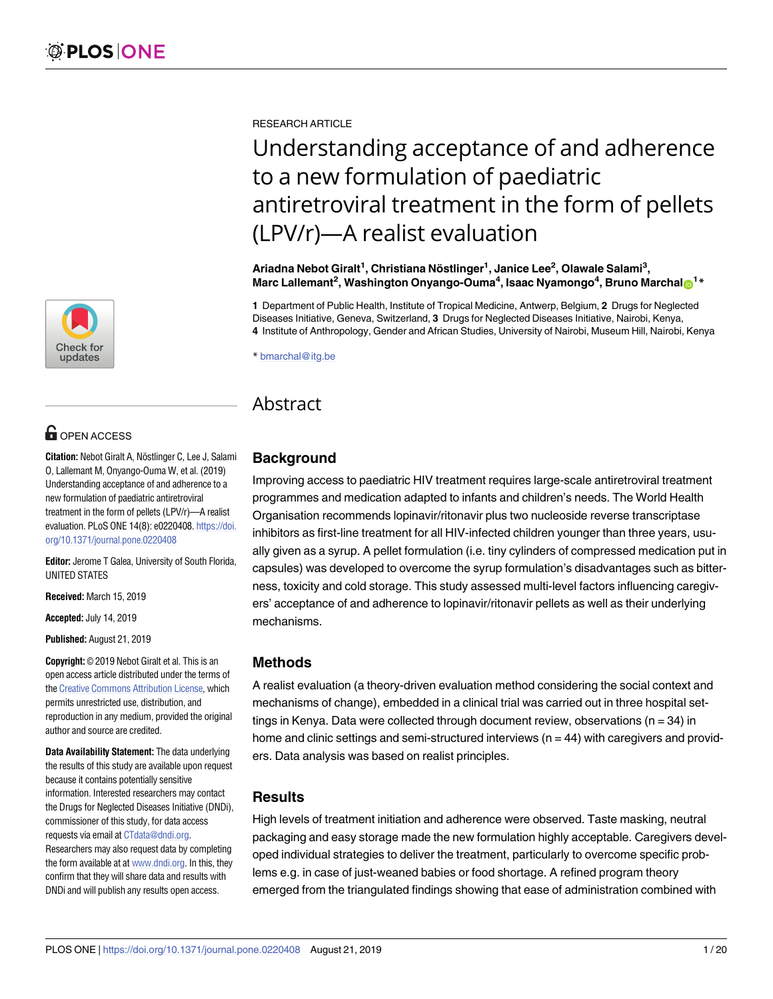

# **OPEN ACCESS**

**Citation:** Nebot Giralt A, Nöstlinger C, Lee J, Salami O, Lallemant M, Onyango-Ouma W, et al. (2019) Understanding acceptance of and adherence to a new formulation of paediatric antiretroviral treatment in the form of pellets (LPV/r)—A realist evaluation. PLoS ONE 14(8): e0220408. [https://doi.](https://doi.org/10.1371/journal.pone.0220408) [org/10.1371/journal.pone.0220408](https://doi.org/10.1371/journal.pone.0220408)

**Editor:** Jerome T Galea, University of South Florida, UNITED STATES

**Received:** March 15, 2019

**Accepted:** July 14, 2019

**Published:** August 21, 2019

**Copyright:** © 2019 Nebot Giralt et al. This is an open access article distributed under the terms of the Creative [Commons](http://creativecommons.org/licenses/by/4.0/) Attribution License, which permits unrestricted use, distribution, and reproduction in any medium, provided the original author and source are credited.

**Data Availability Statement:** The data underlying the results of this study are available upon request because it contains potentially sensitive information. Interested researchers may contact the Drugs for Neglected Diseases Initiative (DNDi), commissioner of this study, for data access requests via email at [CTdata@dndi.org.](mailto:CTdata@dndi.org) Researchers may also request data by completing the form available at at [www.dndi.org](http://www.dndi.org). In this, they confirm that they will share data and results with DNDi and will publish any results open access.

RESEARCH ARTICLE

# Understanding acceptance of and adherence to a new formulation of paediatric antiretroviral treatment in the form of pellets (LPV/r)—A realist evaluation

**Ariadna Nebot Giralt1 , Christiana No¨ stlinger1 , Janice Lee2 , Olawale Salami3 ,**  $M$ arc Lallemant<sup>2</sup>, Washington Onyango-Ouma<sup>4</sup>, Isaac Nyamongo<sup>4</sup>, Bruno Marchalo<sup>1</sup>\*

**1** Department of Public Health, Institute of Tropical Medicine, Antwerp, Belgium, **2** Drugs for Neglected Diseases Initiative, Geneva, Switzerland, **3** Drugs for Neglected Diseases Initiative, Nairobi, Kenya, **4** Institute of Anthropology, Gender and African Studies, University of Nairobi, Museum Hill, Nairobi, Kenya

\* bmarchal@itg.be

## **Abstract**

## **Background**

Improving access to paediatric HIV treatment requires large-scale antiretroviral treatment programmes and medication adapted to infants and children's needs. The World Health Organisation recommends lopinavir/ritonavir plus two nucleoside reverse transcriptase inhibitors as first-line treatment for all HIV-infected children younger than three years, usually given as a syrup. A pellet formulation (i.e. tiny cylinders of compressed medication put in capsules) was developed to overcome the syrup formulation's disadvantages such as bitterness, toxicity and cold storage. This study assessed multi-level factors influencing caregivers' acceptance of and adherence to lopinavir/ritonavir pellets as well as their underlying mechanisms.

## **Methods**

A realist evaluation (a theory-driven evaluation method considering the social context and mechanisms of change), embedded in a clinical trial was carried out in three hospital settings in Kenya. Data were collected through document review, observations ( $n = 34$ ) in home and clinic settings and semi-structured interviews ( $n = 44$ ) with caregivers and providers. Data analysis was based on realist principles.

## **Results**

High levels of treatment initiation and adherence were observed. Taste masking, neutral packaging and easy storage made the new formulation highly acceptable. Caregivers developed individual strategies to deliver the treatment, particularly to overcome specific problems e.g. in case of just-weaned babies or food shortage. A refined program theory emerged from the triangulated findings showing that ease of administration combined with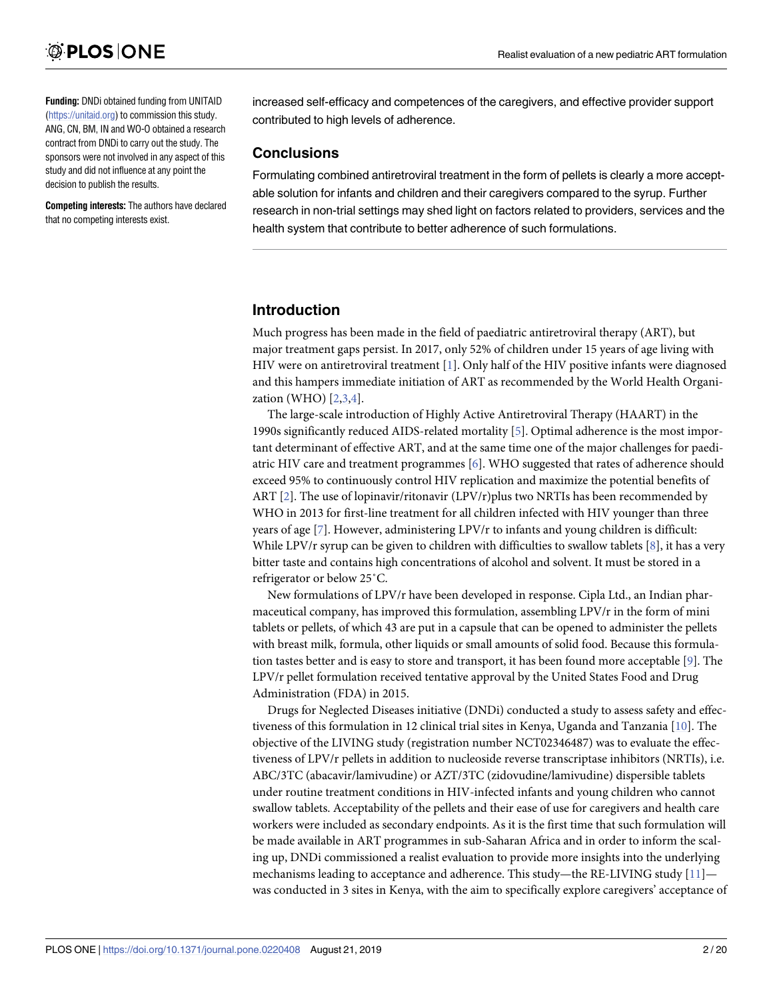<span id="page-1-0"></span>**Funding:** DNDi obtained funding from UNITAID [\(https://unitaid.org](https://unitaid.org)) to commission this study. ANG, CN, BM, IN and WO-O obtained a research contract from DNDi to carry out the study. The sponsors were not involved in any aspect of this study and did not influence at any point the decision to publish the results.

**Competing interests:** The authors have declared that no competing interests exist.

increased self-efficacy and competences of the caregivers, and effective provider support contributed to high levels of adherence.

#### **Conclusions**

Formulating combined antiretroviral treatment in the form of pellets is clearly a more acceptable solution for infants and children and their caregivers compared to the syrup. Further research in non-trial settings may shed light on factors related to providers, services and the health system that contribute to better adherence of such formulations.

## **Introduction**

Much progress has been made in the field of paediatric antiretroviral therapy (ART), but major treatment gaps persist. In 2017, only 52% of children under 15 years of age living with HIV were on antiretroviral treatment [\[1\]](#page-17-0). Only half of the HIV positive infants were diagnosed and this hampers immediate initiation of ART as recommended by the World Health Organization (WHO) [\[2,3,4\]](#page-17-0).

The large-scale introduction of Highly Active Antiretroviral Therapy (HAART) in the 1990s significantly reduced AIDS-related mortality [\[5\]](#page-17-0). Optimal adherence is the most important determinant of effective ART, and at the same time one of the major challenges for paediatric HIV care and treatment programmes [\[6\]](#page-17-0). WHO suggested that rates of adherence should exceed 95% to continuously control HIV replication and maximize the potential benefits of ART [[2\]](#page-17-0). The use of lopinavir/ritonavir (LPV/r)plus two NRTIs has been recommended by WHO in 2013 for first-line treatment for all children infected with HIV younger than three years of age [[7](#page-17-0)]. However, administering LPV/r to infants and young children is difficult: While LPV/r syrup can be given to children with difficulties to swallow tablets [[8\]](#page-17-0), it has a very bitter taste and contains high concentrations of alcohol and solvent. It must be stored in a refrigerator or below 25˚C.

New formulations of LPV/r have been developed in response. Cipla Ltd., an Indian pharmaceutical company, has improved this formulation, assembling LPV/r in the form of mini tablets or pellets, of which 43 are put in a capsule that can be opened to administer the pellets with breast milk, formula, other liquids or small amounts of solid food. Because this formulation tastes better and is easy to store and transport, it has been found more acceptable [\[9](#page-17-0)]. The LPV/r pellet formulation received tentative approval by the United States Food and Drug Administration (FDA) in 2015.

Drugs for Neglected Diseases initiative (DNDi) conducted a study to assess safety and effec-tiveness of this formulation in 12 clinical trial sites in Kenya, Uganda and Tanzania [[10](#page-17-0)]. The objective of the LIVING study (registration number NCT02346487) was to evaluate the effectiveness of LPV/r pellets in addition to nucleoside reverse transcriptase inhibitors (NRTIs), i.e. ABC/3TC (abacavir/lamivudine) or AZT/3TC (zidovudine/lamivudine) dispersible tablets under routine treatment conditions in HIV-infected infants and young children who cannot swallow tablets. Acceptability of the pellets and their ease of use for caregivers and health care workers were included as secondary endpoints. As it is the first time that such formulation will be made available in ART programmes in sub-Saharan Africa and in order to inform the scaling up, DNDi commissioned a realist evaluation to provide more insights into the underlying mechanisms leading to acceptance and adherence. This study—the RE-LIVING study [\[11\]](#page-17-0) was conducted in 3 sites in Kenya, with the aim to specifically explore caregivers' acceptance of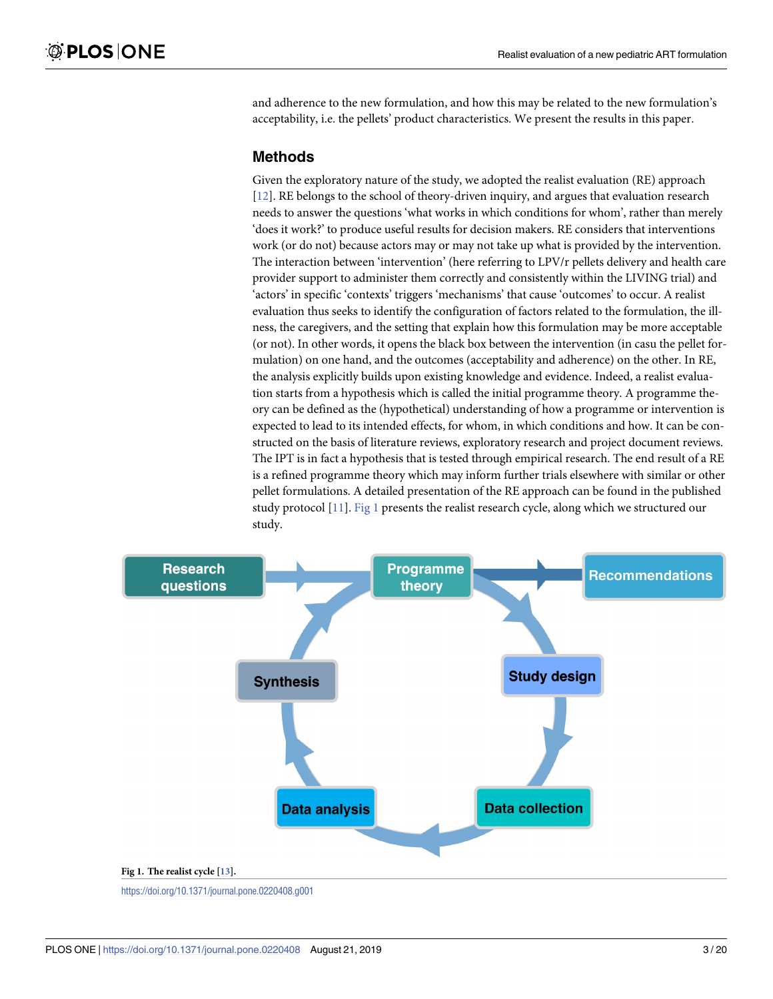<span id="page-2-0"></span>and adherence to the new formulation, and how this may be related to the new formulation's acceptability, i.e. the pellets' product characteristics. We present the results in this paper.

## **Methods**

Given the exploratory nature of the study, we adopted the realist evaluation (RE) approach [\[12\]](#page-17-0). RE belongs to the school of theory-driven inquiry, and argues that evaluation research needs to answer the questions 'what works in which conditions for whom', rather than merely 'does it work?' to produce useful results for decision makers. RE considers that interventions work (or do not) because actors may or may not take up what is provided by the intervention. The interaction between 'intervention' (here referring to LPV/r pellets delivery and health care provider support to administer them correctly and consistently within the LIVING trial) and 'actors' in specific 'contexts' triggers 'mechanisms' that cause 'outcomes' to occur. A realist evaluation thus seeks to identify the configuration of factors related to the formulation, the illness, the caregivers, and the setting that explain how this formulation may be more acceptable (or not). In other words, it opens the black box between the intervention (in casu the pellet formulation) on one hand, and the outcomes (acceptability and adherence) on the other. In RE, the analysis explicitly builds upon existing knowledge and evidence. Indeed, a realist evaluation starts from a hypothesis which is called the initial programme theory. A programme theory can be defined as the (hypothetical) understanding of how a programme or intervention is expected to lead to its intended effects, for whom, in which conditions and how. It can be constructed on the basis of literature reviews, exploratory research and project document reviews. The IPT is in fact a hypothesis that is tested through empirical research. The end result of a RE is a refined programme theory which may inform further trials elsewhere with similar or other pellet formulations. A detailed presentation of the RE approach can be found in the published study protocol [\[11\]](#page-17-0). Fig 1 presents the realist research cycle, along which we structured our study.



<https://doi.org/10.1371/journal.pone.0220408.g001>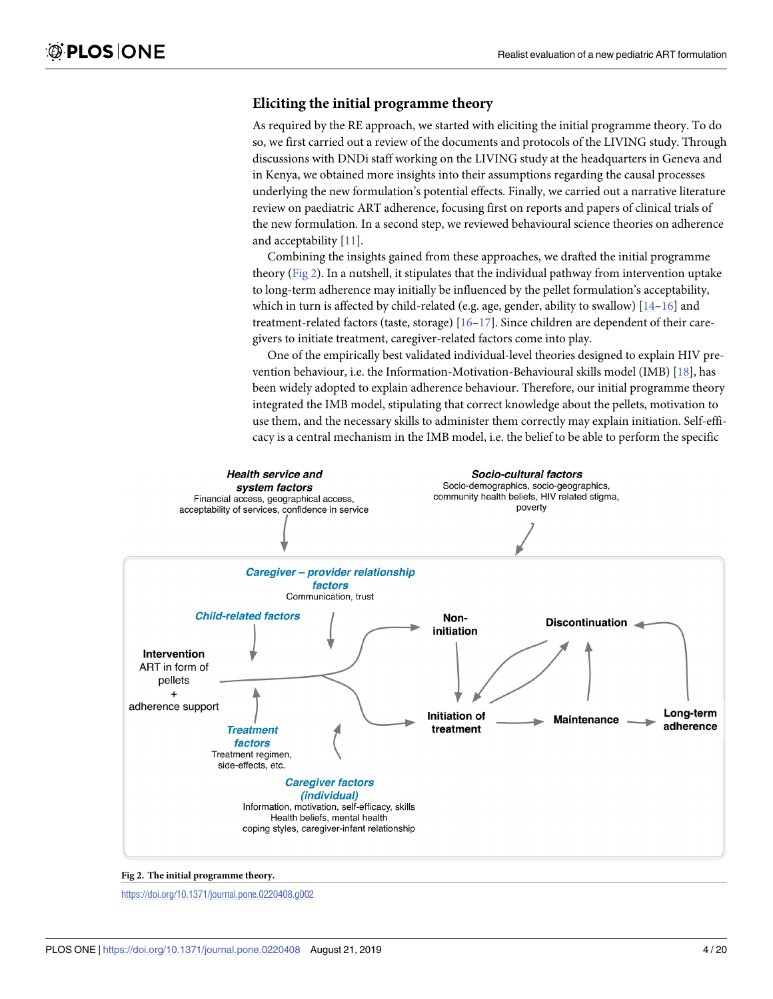## <span id="page-3-0"></span>**Eliciting the initial programme theory**

As required by the RE approach, we started with eliciting the initial programme theory. To do so, we first carried out a review of the documents and protocols of the LIVING study. Through discussions with DNDi staff working on the LIVING study at the headquarters in Geneva and in Kenya, we obtained more insights into their assumptions regarding the causal processes underlying the new formulation's potential effects. Finally, we carried out a narrative literature review on paediatric ART adherence, focusing first on reports and papers of clinical trials of the new formulation. In a second step, we reviewed behavioural science theories on adherence and acceptability [[11](#page-17-0)].

Combining the insights gained from these approaches, we drafted the initial programme theory (Fig 2). In a nutshell, it stipulates that the individual pathway from intervention uptake to long-term adherence may initially be influenced by the pellet formulation's acceptability, which in turn is affected by child-related (e.g. age, gender, ability to swallow)  $[14-16]$  and treatment-related factors (taste, storage) [[16–17\]](#page-17-0). Since children are dependent of their caregivers to initiate treatment, caregiver-related factors come into play.

One of the empirically best validated individual-level theories designed to explain HIV prevention behaviour, i.e. the Information-Motivation-Behavioural skills model (IMB) [[18](#page-18-0)], has been widely adopted to explain adherence behaviour. Therefore, our initial programme theory integrated the IMB model, stipulating that correct knowledge about the pellets, motivation to use them, and the necessary skills to administer them correctly may explain initiation. Self-efficacy is a central mechanism in the IMB model, i.e. the belief to be able to perform the specific



**Fig 2. The initial programme theory.**

<https://doi.org/10.1371/journal.pone.0220408.g002>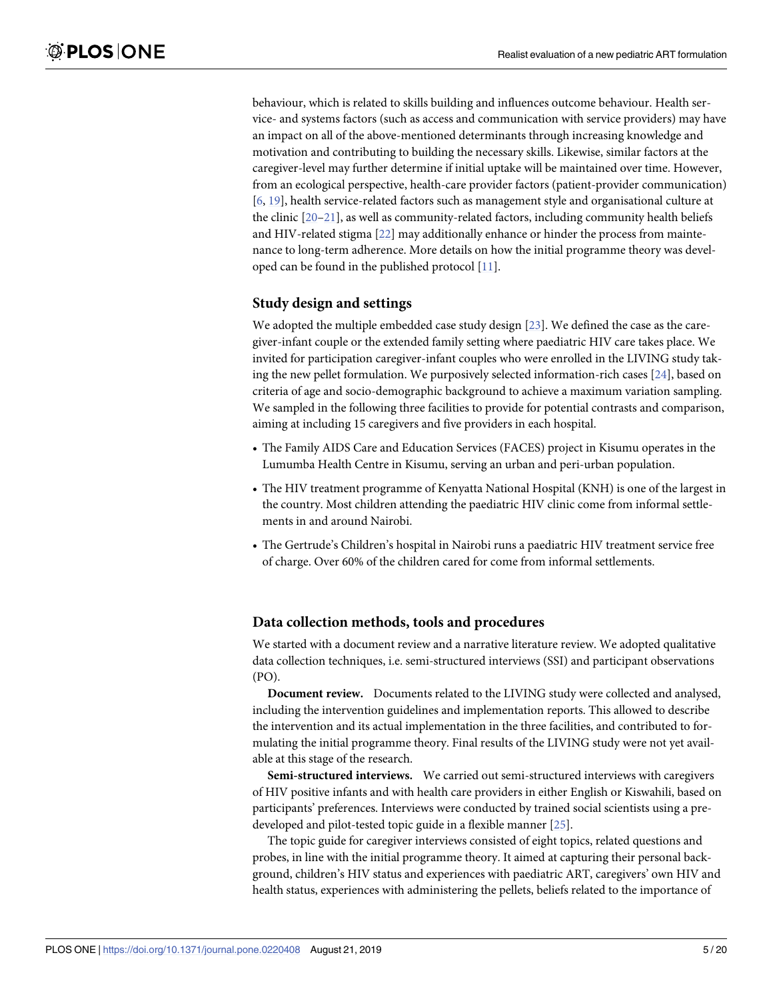<span id="page-4-0"></span>behaviour, which is related to skills building and influences outcome behaviour. Health service- and systems factors (such as access and communication with service providers) may have an impact on all of the above-mentioned determinants through increasing knowledge and motivation and contributing to building the necessary skills. Likewise, similar factors at the caregiver-level may further determine if initial uptake will be maintained over time. However, from an ecological perspective, health-care provider factors (patient-provider communication) [\[6](#page-17-0), [19](#page-18-0)], health service-related factors such as management style and organisational culture at the clinic [\[20–21](#page-18-0)], as well as community-related factors, including community health beliefs and HIV-related stigma [\[22\]](#page-18-0) may additionally enhance or hinder the process from maintenance to long-term adherence. More details on how the initial programme theory was developed can be found in the published protocol [[11](#page-17-0)].

#### **Study design and settings**

We adopted the multiple embedded case study design [\[23\]](#page-18-0). We defined the case as the caregiver-infant couple or the extended family setting where paediatric HIV care takes place. We invited for participation caregiver-infant couples who were enrolled in the LIVING study taking the new pellet formulation. We purposively selected information-rich cases [[24](#page-18-0)], based on criteria of age and socio-demographic background to achieve a maximum variation sampling. We sampled in the following three facilities to provide for potential contrasts and comparison, aiming at including 15 caregivers and five providers in each hospital.

- The Family AIDS Care and Education Services (FACES) project in Kisumu operates in the Lumumba Health Centre in Kisumu, serving an urban and peri-urban population.
- The HIV treatment programme of Kenyatta National Hospital (KNH) is one of the largest in the country. Most children attending the paediatric HIV clinic come from informal settlements in and around Nairobi.
- The Gertrude's Children's hospital in Nairobi runs a paediatric HIV treatment service free of charge. Over 60% of the children cared for come from informal settlements.

#### **Data collection methods, tools and procedures**

We started with a document review and a narrative literature review. We adopted qualitative data collection techniques, i.e. semi-structured interviews (SSI) and participant observations (PO).

**Document review.** Documents related to the LIVING study were collected and analysed, including the intervention guidelines and implementation reports. This allowed to describe the intervention and its actual implementation in the three facilities, and contributed to formulating the initial programme theory. Final results of the LIVING study were not yet available at this stage of the research.

**Semi-structured interviews.** We carried out semi-structured interviews with caregivers of HIV positive infants and with health care providers in either English or Kiswahili, based on participants' preferences. Interviews were conducted by trained social scientists using a predeveloped and pilot-tested topic guide in a flexible manner [[25](#page-18-0)].

The topic guide for caregiver interviews consisted of eight topics, related questions and probes, in line with the initial programme theory. It aimed at capturing their personal background, children's HIV status and experiences with paediatric ART, caregivers' own HIV and health status, experiences with administering the pellets, beliefs related to the importance of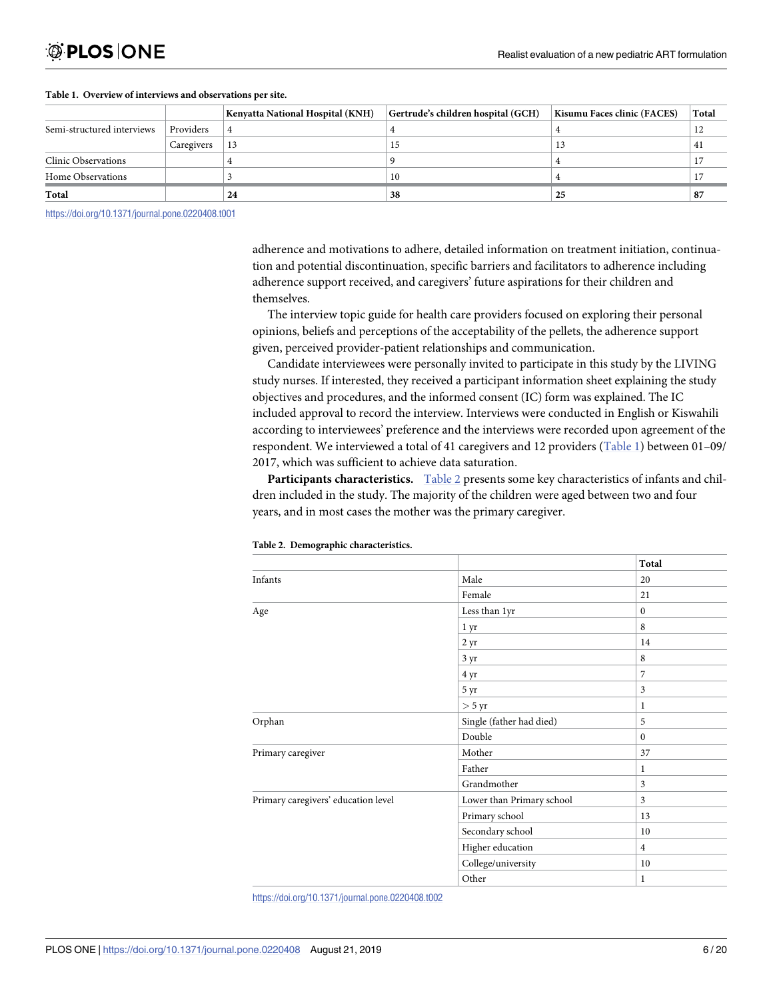|                            |            | <b>Kenyatta National Hospital (KNH)</b> | Gertrude's children hospital (GCH) | Kisumu Faces clinic (FACES) | <b>Total</b> |
|----------------------------|------------|-----------------------------------------|------------------------------------|-----------------------------|--------------|
| Semi-structured interviews | Providers  |                                         |                                    |                             | 12           |
|                            | Caregivers | 13                                      | 15                                 | 13                          | 41           |
| Clinic Observations        |            |                                         |                                    |                             |              |
| Home Observations          |            |                                         | 10                                 |                             |              |
| Total                      |            | 24                                      | 38                                 | 25                          | 87           |

#### **Table 1. Overview of interviews and observations per site.**

<https://doi.org/10.1371/journal.pone.0220408.t001>

adherence and motivations to adhere, detailed information on treatment initiation, continuation and potential discontinuation, specific barriers and facilitators to adherence including adherence support received, and caregivers' future aspirations for their children and themselves.

The interview topic guide for health care providers focused on exploring their personal opinions, beliefs and perceptions of the acceptability of the pellets, the adherence support given, perceived provider-patient relationships and communication.

Candidate interviewees were personally invited to participate in this study by the LIVING study nurses. If interested, they received a participant information sheet explaining the study objectives and procedures, and the informed consent (IC) form was explained. The IC included approval to record the interview. Interviews were conducted in English or Kiswahili according to interviewees' preference and the interviews were recorded upon agreement of the respondent. We interviewed a total of 41 caregivers and 12 providers (Table 1) between 01–09/ 2017, which was sufficient to achieve data saturation.

**Participants characteristics.** Table 2 presents some key characteristics of infants and children included in the study. The majority of the children were aged between two and four years, and in most cases the mother was the primary caregiver.

|                                     |                           | Total          |
|-------------------------------------|---------------------------|----------------|
| Infants                             | Male                      | 20             |
|                                     | Female                    | 21             |
| Age                                 | Less than 1yr             | $\mathbf{0}$   |
|                                     | 1 yr                      | 8              |
|                                     | 2 <sub>yr</sub>           | 14             |
|                                     | 3 yr                      | 8              |
|                                     | 4 yr                      | $\overline{7}$ |
|                                     | 5 yr                      | 3              |
|                                     | $>$ 5 yr                  | 1              |
| Orphan                              | Single (father had died)  | 5              |
|                                     | Double                    | $\Omega$       |
| Primary caregiver                   | Mother                    | 37             |
|                                     | Father                    | 1              |
|                                     | Grandmother               | $\overline{3}$ |
| Primary caregivers' education level | Lower than Primary school | 3              |
|                                     | Primary school            | 13             |
|                                     | Secondary school          | 10             |
|                                     | Higher education          | $\overline{4}$ |
|                                     | College/university        | 10             |
|                                     | Other                     | 1              |

#### **Table 2. Demographic characteristics.**

<https://doi.org/10.1371/journal.pone.0220408.t002>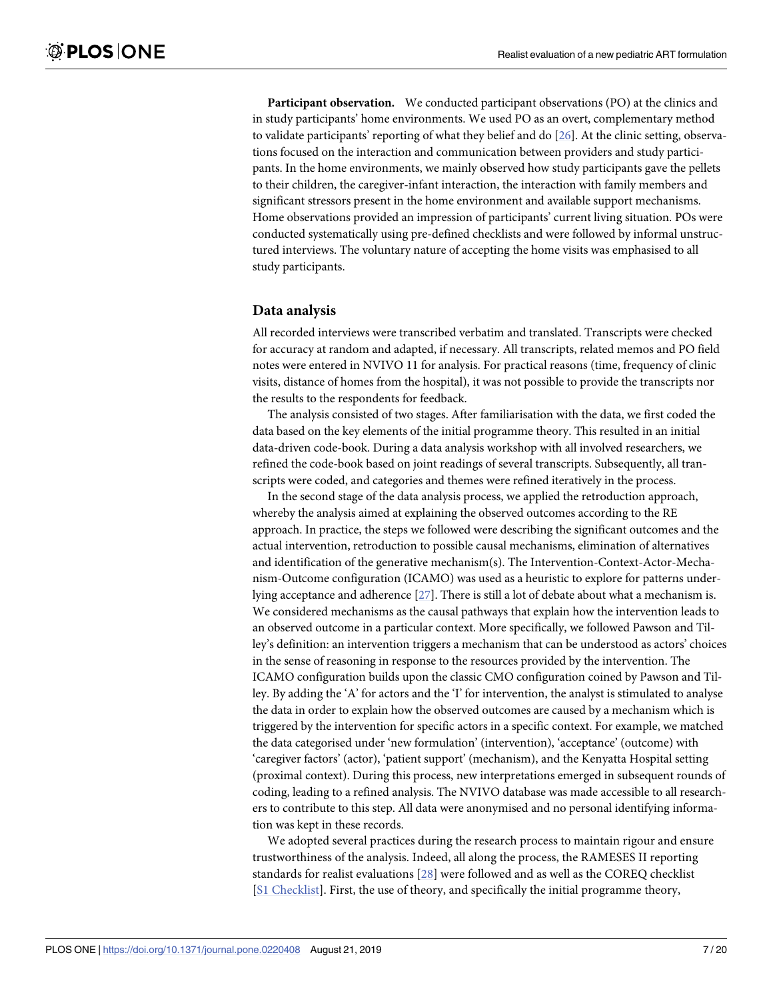<span id="page-6-0"></span>**Participant observation.** We conducted participant observations (PO) at the clinics and in study participants' home environments. We used PO as an overt, complementary method to validate participants' reporting of what they belief and do [[26](#page-18-0)]. At the clinic setting, observations focused on the interaction and communication between providers and study participants. In the home environments, we mainly observed how study participants gave the pellets to their children, the caregiver-infant interaction, the interaction with family members and significant stressors present in the home environment and available support mechanisms. Home observations provided an impression of participants' current living situation. POs were conducted systematically using pre-defined checklists and were followed by informal unstructured interviews. The voluntary nature of accepting the home visits was emphasised to all study participants.

#### **Data analysis**

All recorded interviews were transcribed verbatim and translated. Transcripts were checked for accuracy at random and adapted, if necessary. All transcripts, related memos and PO field notes were entered in NVIVO 11 for analysis. For practical reasons (time, frequency of clinic visits, distance of homes from the hospital), it was not possible to provide the transcripts nor the results to the respondents for feedback.

The analysis consisted of two stages. After familiarisation with the data, we first coded the data based on the key elements of the initial programme theory. This resulted in an initial data-driven code-book. During a data analysis workshop with all involved researchers, we refined the code-book based on joint readings of several transcripts. Subsequently, all transcripts were coded, and categories and themes were refined iteratively in the process.

In the second stage of the data analysis process, we applied the retroduction approach, whereby the analysis aimed at explaining the observed outcomes according to the RE approach. In practice, the steps we followed were describing the significant outcomes and the actual intervention, retroduction to possible causal mechanisms, elimination of alternatives and identification of the generative mechanism(s). The Intervention-Context-Actor-Mechanism-Outcome configuration (ICAMO) was used as a heuristic to explore for patterns underlying acceptance and adherence [[27](#page-18-0)]. There is still a lot of debate about what a mechanism is. We considered mechanisms as the causal pathways that explain how the intervention leads to an observed outcome in a particular context. More specifically, we followed Pawson and Tilley's definition: an intervention triggers a mechanism that can be understood as actors' choices in the sense of reasoning in response to the resources provided by the intervention. The ICAMO configuration builds upon the classic CMO configuration coined by Pawson and Tilley. By adding the 'A' for actors and the 'I' for intervention, the analyst is stimulated to analyse the data in order to explain how the observed outcomes are caused by a mechanism which is triggered by the intervention for specific actors in a specific context. For example, we matched the data categorised under 'new formulation' (intervention), 'acceptance' (outcome) with 'caregiver factors' (actor), 'patient support' (mechanism), and the Kenyatta Hospital setting (proximal context). During this process, new interpretations emerged in subsequent rounds of coding, leading to a refined analysis. The NVIVO database was made accessible to all researchers to contribute to this step. All data were anonymised and no personal identifying information was kept in these records.

We adopted several practices during the research process to maintain rigour and ensure trustworthiness of the analysis. Indeed, all along the process, the RAMESES II reporting standards for realist evaluations [[28](#page-18-0)] were followed and as well as the COREQ checklist [S1 [Checklist\]](#page-16-0). First, the use of theory, and specifically the initial programme theory,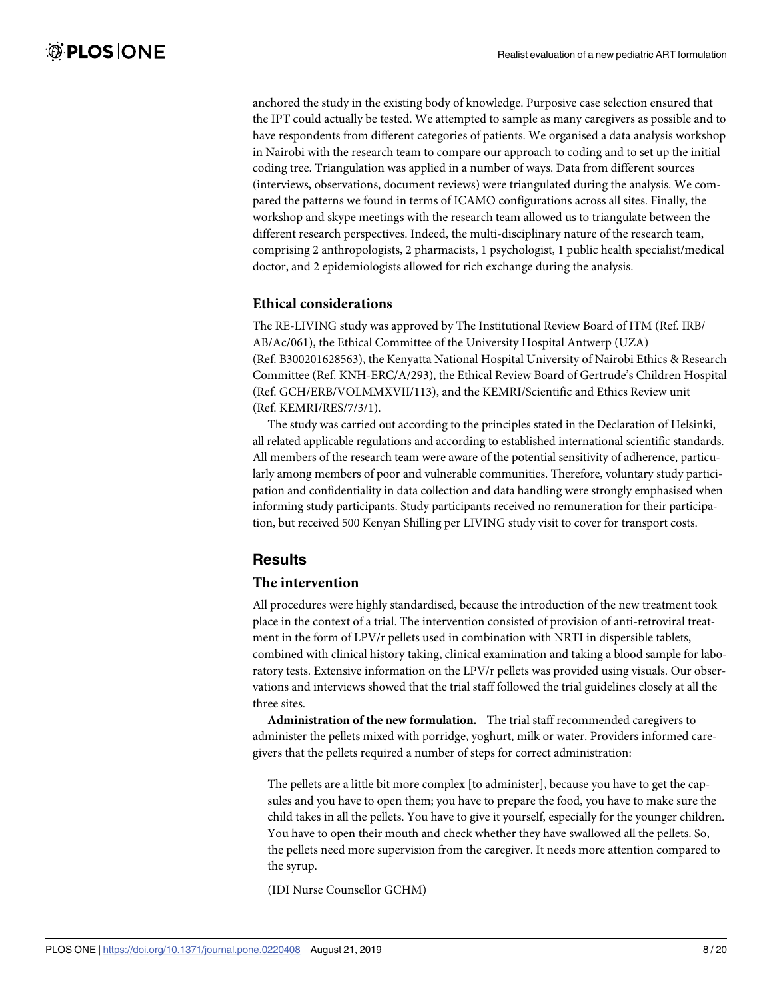anchored the study in the existing body of knowledge. Purposive case selection ensured that the IPT could actually be tested. We attempted to sample as many caregivers as possible and to have respondents from different categories of patients. We organised a data analysis workshop in Nairobi with the research team to compare our approach to coding and to set up the initial coding tree. Triangulation was applied in a number of ways. Data from different sources (interviews, observations, document reviews) were triangulated during the analysis. We compared the patterns we found in terms of ICAMO configurations across all sites. Finally, the workshop and skype meetings with the research team allowed us to triangulate between the different research perspectives. Indeed, the multi-disciplinary nature of the research team, comprising 2 anthropologists, 2 pharmacists, 1 psychologist, 1 public health specialist/medical doctor, and 2 epidemiologists allowed for rich exchange during the analysis.

#### **Ethical considerations**

The RE-LIVING study was approved by The Institutional Review Board of ITM (Ref. IRB/ AB/Ac/061), the Ethical Committee of the University Hospital Antwerp (UZA) (Ref. B300201628563), the Kenyatta National Hospital University of Nairobi Ethics & Research Committee (Ref. KNH-ERC/A/293), the Ethical Review Board of Gertrude's Children Hospital (Ref. GCH/ERB/VOLMMXVII/113), and the KEMRI/Scientific and Ethics Review unit (Ref. KEMRI/RES/7/3/1).

The study was carried out according to the principles stated in the Declaration of Helsinki, all related applicable regulations and according to established international scientific standards. All members of the research team were aware of the potential sensitivity of adherence, particularly among members of poor and vulnerable communities. Therefore, voluntary study participation and confidentiality in data collection and data handling were strongly emphasised when informing study participants. Study participants received no remuneration for their participation, but received 500 Kenyan Shilling per LIVING study visit to cover for transport costs.

## **Results**

#### **The intervention**

All procedures were highly standardised, because the introduction of the new treatment took place in the context of a trial. The intervention consisted of provision of anti-retroviral treatment in the form of LPV/r pellets used in combination with NRTI in dispersible tablets, combined with clinical history taking, clinical examination and taking a blood sample for laboratory tests. Extensive information on the LPV/r pellets was provided using visuals. Our observations and interviews showed that the trial staff followed the trial guidelines closely at all the three sites.

**Administration of the new formulation.** The trial staff recommended caregivers to administer the pellets mixed with porridge, yoghurt, milk or water. Providers informed caregivers that the pellets required a number of steps for correct administration:

The pellets are a little bit more complex [to administer], because you have to get the capsules and you have to open them; you have to prepare the food, you have to make sure the child takes in all the pellets. You have to give it yourself, especially for the younger children. You have to open their mouth and check whether they have swallowed all the pellets. So, the pellets need more supervision from the caregiver. It needs more attention compared to the syrup.

(IDI Nurse Counsellor GCHM)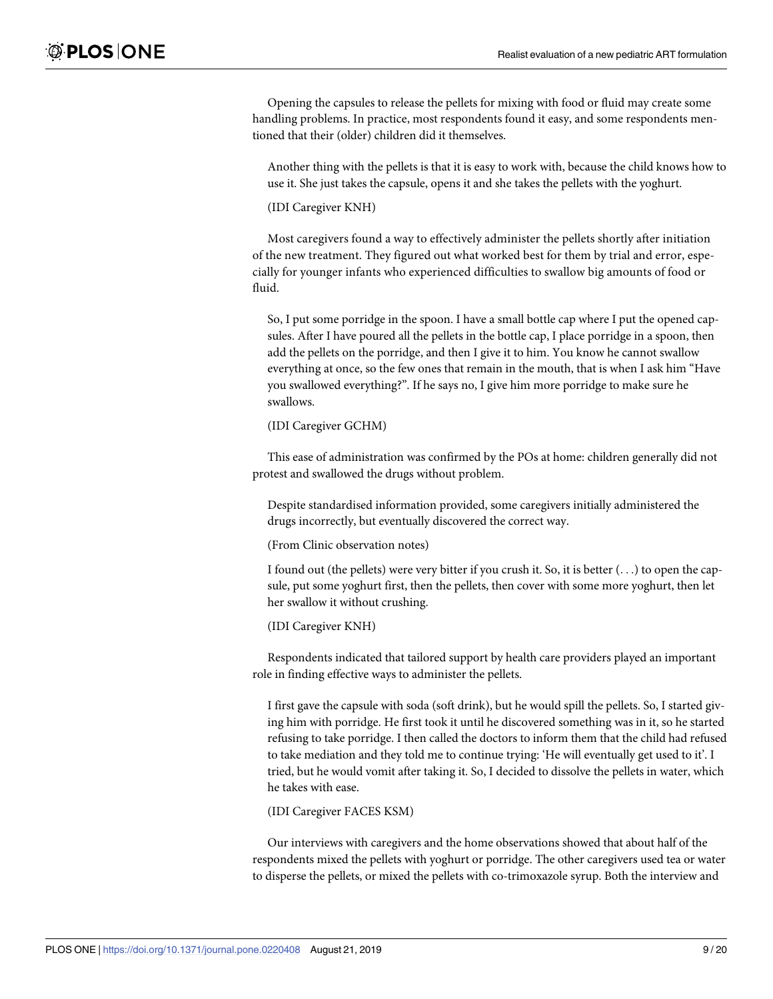Opening the capsules to release the pellets for mixing with food or fluid may create some handling problems. In practice, most respondents found it easy, and some respondents mentioned that their (older) children did it themselves.

Another thing with the pellets is that it is easy to work with, because the child knows how to use it. She just takes the capsule, opens it and she takes the pellets with the yoghurt.

(IDI Caregiver KNH)

Most caregivers found a way to effectively administer the pellets shortly after initiation of the new treatment. They figured out what worked best for them by trial and error, especially for younger infants who experienced difficulties to swallow big amounts of food or fluid.

So, I put some porridge in the spoon. I have a small bottle cap where I put the opened capsules. After I have poured all the pellets in the bottle cap, I place porridge in a spoon, then add the pellets on the porridge, and then I give it to him. You know he cannot swallow everything at once, so the few ones that remain in the mouth, that is when I ask him "Have you swallowed everything?". If he says no, I give him more porridge to make sure he swallows.

(IDI Caregiver GCHM)

This ease of administration was confirmed by the POs at home: children generally did not protest and swallowed the drugs without problem.

Despite standardised information provided, some caregivers initially administered the drugs incorrectly, but eventually discovered the correct way.

(From Clinic observation notes)

I found out (the pellets) were very bitter if you crush it. So, it is better (. . .) to open the capsule, put some yoghurt first, then the pellets, then cover with some more yoghurt, then let her swallow it without crushing.

(IDI Caregiver KNH)

Respondents indicated that tailored support by health care providers played an important role in finding effective ways to administer the pellets.

I first gave the capsule with soda (soft drink), but he would spill the pellets. So, I started giving him with porridge. He first took it until he discovered something was in it, so he started refusing to take porridge. I then called the doctors to inform them that the child had refused to take mediation and they told me to continue trying: 'He will eventually get used to it'. I tried, but he would vomit after taking it. So, I decided to dissolve the pellets in water, which he takes with ease.

(IDI Caregiver FACES KSM)

Our interviews with caregivers and the home observations showed that about half of the respondents mixed the pellets with yoghurt or porridge. The other caregivers used tea or water to disperse the pellets, or mixed the pellets with co-trimoxazole syrup. Both the interview and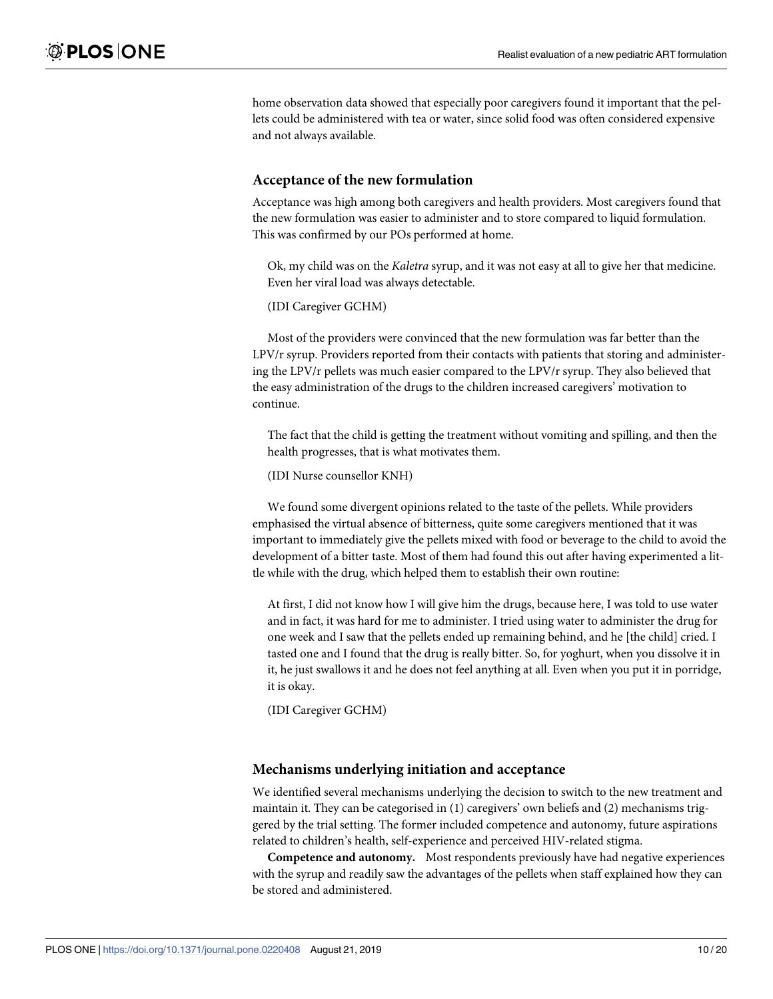home observation data showed that especially poor caregivers found it important that the pellets could be administered with tea or water, since solid food was often considered expensive and not always available.

#### **Acceptance of the new formulation**

Acceptance was high among both caregivers and health providers. Most caregivers found that the new formulation was easier to administer and to store compared to liquid formulation. This was confirmed by our POs performed at home.

Ok, my child was on the *Kaletra* syrup, and it was not easy at all to give her that medicine. Even her viral load was always detectable.

(IDI Caregiver GCHM)

Most of the providers were convinced that the new formulation was far better than the LPV/r syrup. Providers reported from their contacts with patients that storing and administering the LPV/r pellets was much easier compared to the LPV/r syrup. They also believed that the easy administration of the drugs to the children increased caregivers' motivation to continue.

The fact that the child is getting the treatment without vomiting and spilling, and then the health progresses, that is what motivates them.

(IDI Nurse counsellor KNH)

We found some divergent opinions related to the taste of the pellets. While providers emphasised the virtual absence of bitterness, quite some caregivers mentioned that it was important to immediately give the pellets mixed with food or beverage to the child to avoid the development of a bitter taste. Most of them had found this out after having experimented a little while with the drug, which helped them to establish their own routine:

At first, I did not know how I will give him the drugs, because here, I was told to use water and in fact, it was hard for me to administer. I tried using water to administer the drug for one week and I saw that the pellets ended up remaining behind, and he [the child] cried. I tasted one and I found that the drug is really bitter. So, for yoghurt, when you dissolve it in it, he just swallows it and he does not feel anything at all. Even when you put it in porridge, it is okay.

(IDI Caregiver GCHM)

#### **Mechanisms underlying initiation and acceptance**

We identified several mechanisms underlying the decision to switch to the new treatment and maintain it. They can be categorised in (1) caregivers' own beliefs and (2) mechanisms triggered by the trial setting. The former included competence and autonomy, future aspirations related to children's health, self-experience and perceived HIV-related stigma.

**Competence and autonomy.** Most respondents previously have had negative experiences with the syrup and readily saw the advantages of the pellets when staff explained how they can be stored and administered.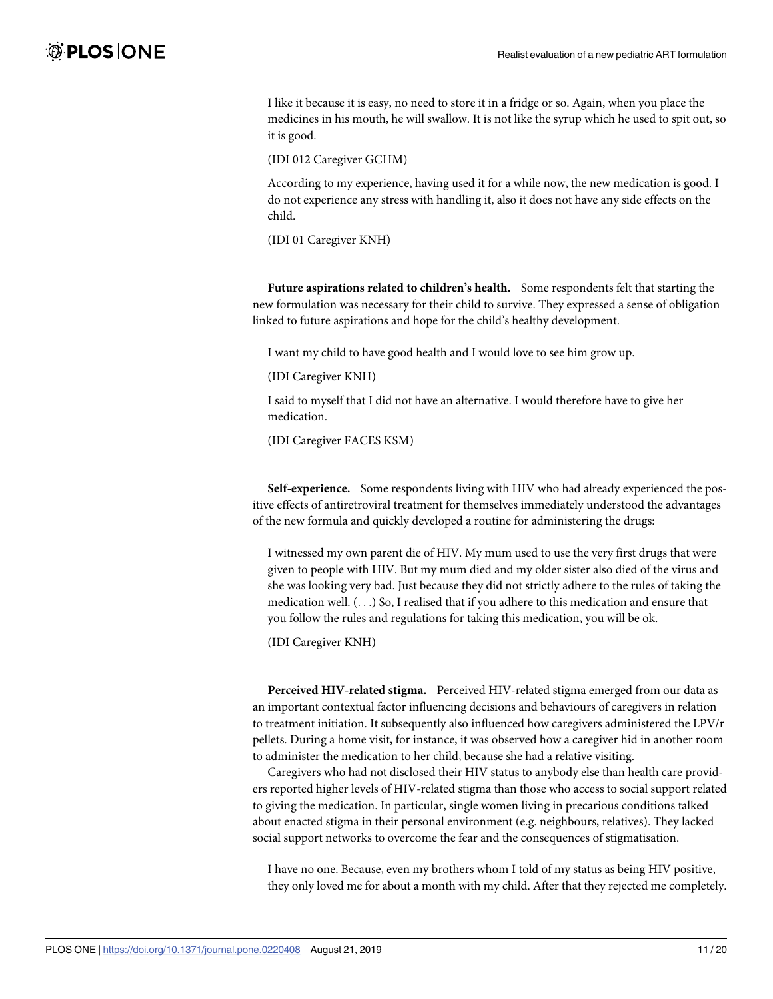I like it because it is easy, no need to store it in a fridge or so. Again, when you place the medicines in his mouth, he will swallow. It is not like the syrup which he used to spit out, so it is good.

(IDI 012 Caregiver GCHM)

According to my experience, having used it for a while now, the new medication is good. I do not experience any stress with handling it, also it does not have any side effects on the child.

(IDI 01 Caregiver KNH)

**Future aspirations related to children's health.** Some respondents felt that starting the new formulation was necessary for their child to survive. They expressed a sense of obligation linked to future aspirations and hope for the child's healthy development.

I want my child to have good health and I would love to see him grow up.

(IDI Caregiver KNH)

I said to myself that I did not have an alternative. I would therefore have to give her medication.

(IDI Caregiver FACES KSM)

**Self-experience.** Some respondents living with HIV who had already experienced the positive effects of antiretroviral treatment for themselves immediately understood the advantages of the new formula and quickly developed a routine for administering the drugs:

I witnessed my own parent die of HIV. My mum used to use the very first drugs that were given to people with HIV. But my mum died and my older sister also died of the virus and she was looking very bad. Just because they did not strictly adhere to the rules of taking the medication well. (. . .) So, I realised that if you adhere to this medication and ensure that you follow the rules and regulations for taking this medication, you will be ok.

(IDI Caregiver KNH)

**Perceived HIV-related stigma.** Perceived HIV-related stigma emerged from our data as an important contextual factor influencing decisions and behaviours of caregivers in relation to treatment initiation. It subsequently also influenced how caregivers administered the LPV/r pellets. During a home visit, for instance, it was observed how a caregiver hid in another room to administer the medication to her child, because she had a relative visiting.

Caregivers who had not disclosed their HIV status to anybody else than health care providers reported higher levels of HIV-related stigma than those who access to social support related to giving the medication. In particular, single women living in precarious conditions talked about enacted stigma in their personal environment (e.g. neighbours, relatives). They lacked social support networks to overcome the fear and the consequences of stigmatisation.

I have no one. Because, even my brothers whom I told of my status as being HIV positive, they only loved me for about a month with my child. After that they rejected me completely.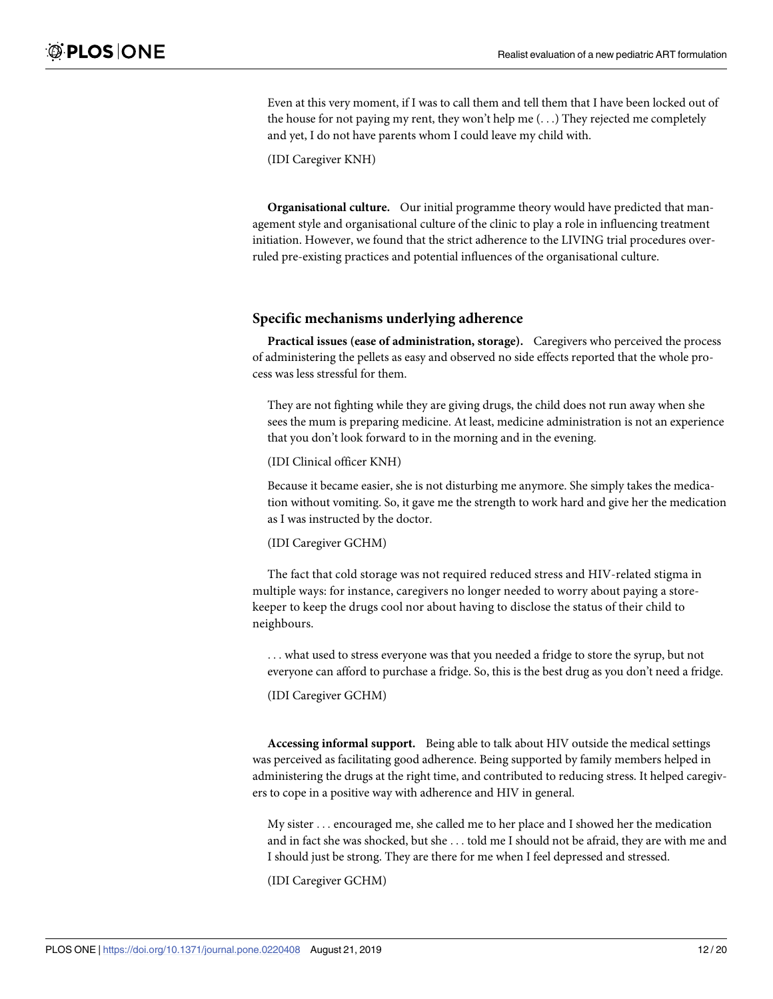Even at this very moment, if I was to call them and tell them that I have been locked out of the house for not paying my rent, they won't help me  $(\ldots)$  They rejected me completely and yet, I do not have parents whom I could leave my child with.

(IDI Caregiver KNH)

**Organisational culture.** Our initial programme theory would have predicted that management style and organisational culture of the clinic to play a role in influencing treatment initiation. However, we found that the strict adherence to the LIVING trial procedures overruled pre-existing practices and potential influences of the organisational culture.

#### **Specific mechanisms underlying adherence**

**Practical issues (ease of administration, storage).** Caregivers who perceived the process of administering the pellets as easy and observed no side effects reported that the whole process was less stressful for them.

They are not fighting while they are giving drugs, the child does not run away when she sees the mum is preparing medicine. At least, medicine administration is not an experience that you don't look forward to in the morning and in the evening.

(IDI Clinical officer KNH)

Because it became easier, she is not disturbing me anymore. She simply takes the medication without vomiting. So, it gave me the strength to work hard and give her the medication as I was instructed by the doctor.

(IDI Caregiver GCHM)

The fact that cold storage was not required reduced stress and HIV-related stigma in multiple ways: for instance, caregivers no longer needed to worry about paying a storekeeper to keep the drugs cool nor about having to disclose the status of their child to neighbours.

. . . what used to stress everyone was that you needed a fridge to store the syrup, but not everyone can afford to purchase a fridge. So, this is the best drug as you don't need a fridge.

(IDI Caregiver GCHM)

**Accessing informal support.** Being able to talk about HIV outside the medical settings was perceived as facilitating good adherence. Being supported by family members helped in administering the drugs at the right time, and contributed to reducing stress. It helped caregivers to cope in a positive way with adherence and HIV in general.

My sister . . . encouraged me, she called me to her place and I showed her the medication and in fact she was shocked, but she . . . told me I should not be afraid, they are with me and I should just be strong. They are there for me when I feel depressed and stressed.

(IDI Caregiver GCHM)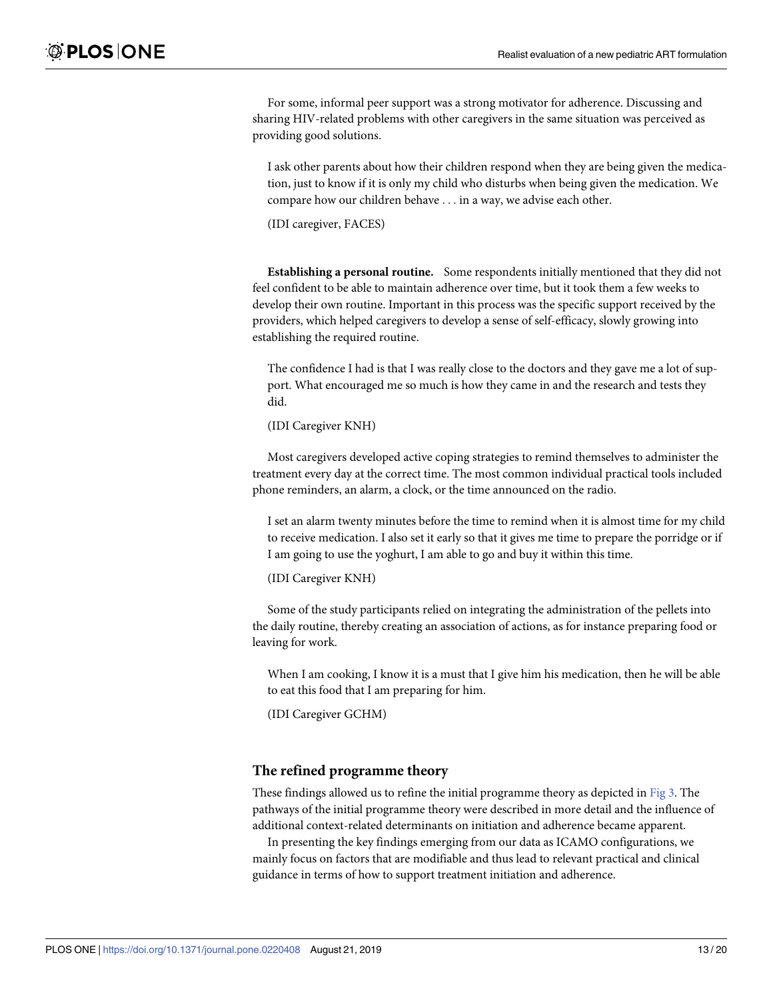<span id="page-12-0"></span>For some, informal peer support was a strong motivator for adherence. Discussing and sharing HIV-related problems with other caregivers in the same situation was perceived as providing good solutions.

I ask other parents about how their children respond when they are being given the medication, just to know if it is only my child who disturbs when being given the medication. We compare how our children behave . . . in a way, we advise each other.

(IDI caregiver, FACES)

**Establishing a personal routine.** Some respondents initially mentioned that they did not feel confident to be able to maintain adherence over time, but it took them a few weeks to develop their own routine. Important in this process was the specific support received by the providers, which helped caregivers to develop a sense of self-efficacy, slowly growing into establishing the required routine.

The confidence I had is that I was really close to the doctors and they gave me a lot of support. What encouraged me so much is how they came in and the research and tests they did.

(IDI Caregiver KNH)

Most caregivers developed active coping strategies to remind themselves to administer the treatment every day at the correct time. The most common individual practical tools included phone reminders, an alarm, a clock, or the time announced on the radio.

I set an alarm twenty minutes before the time to remind when it is almost time for my child to receive medication. I also set it early so that it gives me time to prepare the porridge or if I am going to use the yoghurt, I am able to go and buy it within this time.

(IDI Caregiver KNH)

Some of the study participants relied on integrating the administration of the pellets into the daily routine, thereby creating an association of actions, as for instance preparing food or leaving for work.

When I am cooking, I know it is a must that I give him his medication, then he will be able to eat this food that I am preparing for him.

(IDI Caregiver GCHM)

#### **The refined programme theory**

These findings allowed us to refine the initial programme theory as depicted in [Fig](#page-13-0) 3. The pathways of the initial programme theory were described in more detail and the influence of additional context-related determinants on initiation and adherence became apparent.

In presenting the key findings emerging from our data as ICAMO configurations, we mainly focus on factors that are modifiable and thus lead to relevant practical and clinical guidance in terms of how to support treatment initiation and adherence.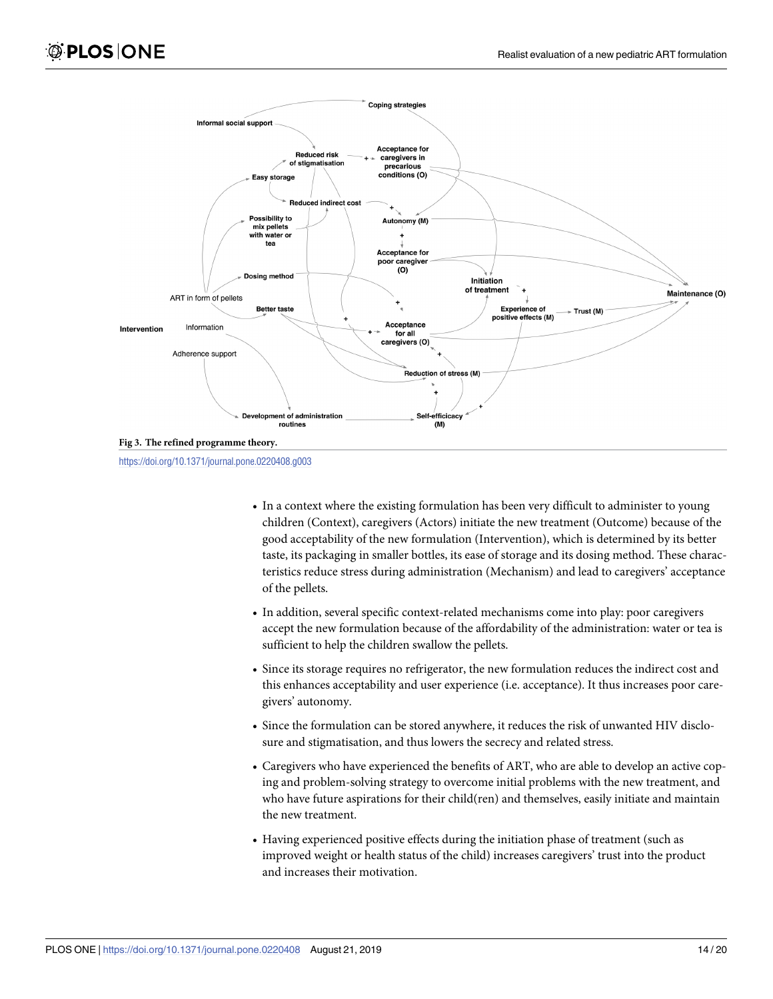<span id="page-13-0"></span>

<https://doi.org/10.1371/journal.pone.0220408.g003>

- In a context where the existing formulation has been very difficult to administer to young children (Context), caregivers (Actors) initiate the new treatment (Outcome) because of the good acceptability of the new formulation (Intervention), which is determined by its better taste, its packaging in smaller bottles, its ease of storage and its dosing method. These characteristics reduce stress during administration (Mechanism) and lead to caregivers' acceptance of the pellets.
- In addition, several specific context-related mechanisms come into play: poor caregivers accept the new formulation because of the affordability of the administration: water or tea is sufficient to help the children swallow the pellets.
- Since its storage requires no refrigerator, the new formulation reduces the indirect cost and this enhances acceptability and user experience (i.e. acceptance). It thus increases poor caregivers' autonomy.
- Since the formulation can be stored anywhere, it reduces the risk of unwanted HIV disclosure and stigmatisation, and thus lowers the secrecy and related stress.
- Caregivers who have experienced the benefits of ART, who are able to develop an active coping and problem-solving strategy to overcome initial problems with the new treatment, and who have future aspirations for their child(ren) and themselves, easily initiate and maintain the new treatment.
- Having experienced positive effects during the initiation phase of treatment (such as improved weight or health status of the child) increases caregivers' trust into the product and increases their motivation.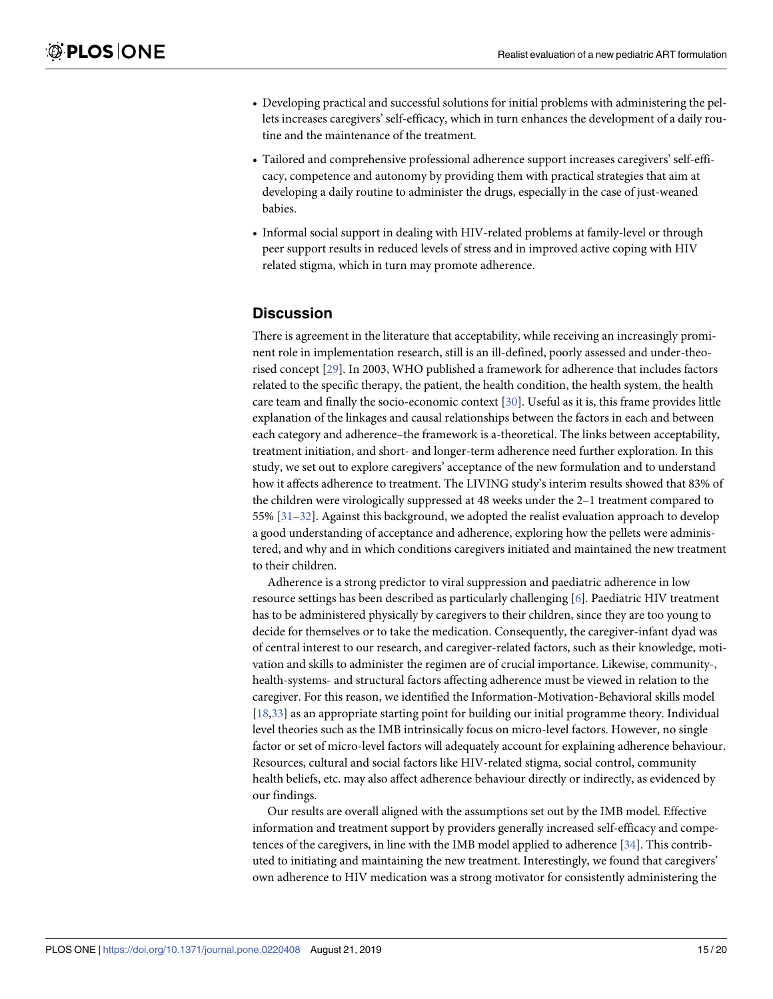- <span id="page-14-0"></span>• Developing practical and successful solutions for initial problems with administering the pellets increases caregivers' self-efficacy, which in turn enhances the development of a daily routine and the maintenance of the treatment.
- Tailored and comprehensive professional adherence support increases caregivers' self-efficacy, competence and autonomy by providing them with practical strategies that aim at developing a daily routine to administer the drugs, especially in the case of just-weaned babies.
- Informal social support in dealing with HIV-related problems at family-level or through peer support results in reduced levels of stress and in improved active coping with HIV related stigma, which in turn may promote adherence.

## **Discussion**

There is agreement in the literature that acceptability, while receiving an increasingly prominent role in implementation research, still is an ill-defined, poorly assessed and under-theorised concept [[29](#page-18-0)]. In 2003, WHO published a framework for adherence that includes factors related to the specific therapy, the patient, the health condition, the health system, the health care team and finally the socio-economic context [[30](#page-18-0)]. Useful as it is, this frame provides little explanation of the linkages and causal relationships between the factors in each and between each category and adherence–the framework is a-theoretical. The links between acceptability, treatment initiation, and short- and longer-term adherence need further exploration. In this study, we set out to explore caregivers' acceptance of the new formulation and to understand how it affects adherence to treatment. The LIVING study's interim results showed that 83% of the children were virologically suppressed at 48 weeks under the 2–1 treatment compared to 55% [[31–32\]](#page-18-0). Against this background, we adopted the realist evaluation approach to develop a good understanding of acceptance and adherence, exploring how the pellets were administered, and why and in which conditions caregivers initiated and maintained the new treatment to their children.

Adherence is a strong predictor to viral suppression and paediatric adherence in low resource settings has been described as particularly challenging [[6](#page-17-0)]. Paediatric HIV treatment has to be administered physically by caregivers to their children, since they are too young to decide for themselves or to take the medication. Consequently, the caregiver-infant dyad was of central interest to our research, and caregiver-related factors, such as their knowledge, motivation and skills to administer the regimen are of crucial importance. Likewise, community-, health-systems- and structural factors affecting adherence must be viewed in relation to the caregiver. For this reason, we identified the Information-Motivation-Behavioral skills model [\[18,33\]](#page-18-0) as an appropriate starting point for building our initial programme theory. Individual level theories such as the IMB intrinsically focus on micro-level factors. However, no single factor or set of micro-level factors will adequately account for explaining adherence behaviour. Resources, cultural and social factors like HIV-related stigma, social control, community health beliefs, etc. may also affect adherence behaviour directly or indirectly, as evidenced by our findings.

Our results are overall aligned with the assumptions set out by the IMB model. Effective information and treatment support by providers generally increased self-efficacy and competences of the caregivers, in line with the IMB model applied to adherence [\[34\]](#page-18-0). This contributed to initiating and maintaining the new treatment. Interestingly, we found that caregivers' own adherence to HIV medication was a strong motivator for consistently administering the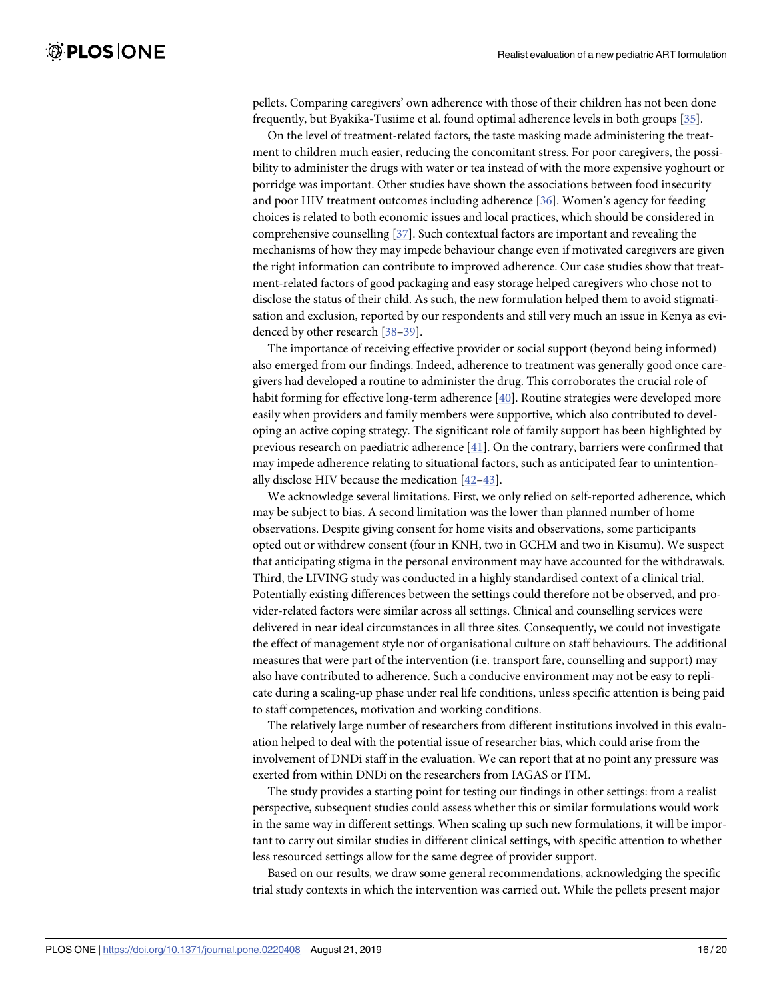<span id="page-15-0"></span>pellets. Comparing caregivers' own adherence with those of their children has not been done frequently, but Byakika-Tusiime et al. found optimal adherence levels in both groups [\[35\]](#page-18-0).

On the level of treatment-related factors, the taste masking made administering the treatment to children much easier, reducing the concomitant stress. For poor caregivers, the possibility to administer the drugs with water or tea instead of with the more expensive yoghourt or porridge was important. Other studies have shown the associations between food insecurity and poor HIV treatment outcomes including adherence [\[36\]](#page-18-0). Women's agency for feeding choices is related to both economic issues and local practices, which should be considered in comprehensive counselling [\[37\]](#page-18-0). Such contextual factors are important and revealing the mechanisms of how they may impede behaviour change even if motivated caregivers are given the right information can contribute to improved adherence. Our case studies show that treatment-related factors of good packaging and easy storage helped caregivers who chose not to disclose the status of their child. As such, the new formulation helped them to avoid stigmatisation and exclusion, reported by our respondents and still very much an issue in Kenya as evidenced by other research [\[38–39](#page-18-0)].

The importance of receiving effective provider or social support (beyond being informed) also emerged from our findings. Indeed, adherence to treatment was generally good once caregivers had developed a routine to administer the drug. This corroborates the crucial role of habit forming for effective long-term adherence [\[40\]](#page-19-0). Routine strategies were developed more easily when providers and family members were supportive, which also contributed to developing an active coping strategy. The significant role of family support has been highlighted by previous research on paediatric adherence [\[41\]](#page-19-0). On the contrary, barriers were confirmed that may impede adherence relating to situational factors, such as anticipated fear to unintentionally disclose HIV because the medication [\[42–43](#page-19-0)].

We acknowledge several limitations. First, we only relied on self-reported adherence, which may be subject to bias. A second limitation was the lower than planned number of home observations. Despite giving consent for home visits and observations, some participants opted out or withdrew consent (four in KNH, two in GCHM and two in Kisumu). We suspect that anticipating stigma in the personal environment may have accounted for the withdrawals. Third, the LIVING study was conducted in a highly standardised context of a clinical trial. Potentially existing differences between the settings could therefore not be observed, and provider-related factors were similar across all settings. Clinical and counselling services were delivered in near ideal circumstances in all three sites. Consequently, we could not investigate the effect of management style nor of organisational culture on staff behaviours. The additional measures that were part of the intervention (i.e. transport fare, counselling and support) may also have contributed to adherence. Such a conducive environment may not be easy to replicate during a scaling-up phase under real life conditions, unless specific attention is being paid to staff competences, motivation and working conditions.

The relatively large number of researchers from different institutions involved in this evaluation helped to deal with the potential issue of researcher bias, which could arise from the involvement of DNDi staff in the evaluation. We can report that at no point any pressure was exerted from within DNDi on the researchers from IAGAS or ITM.

The study provides a starting point for testing our findings in other settings: from a realist perspective, subsequent studies could assess whether this or similar formulations would work in the same way in different settings. When scaling up such new formulations, it will be important to carry out similar studies in different clinical settings, with specific attention to whether less resourced settings allow for the same degree of provider support.

Based on our results, we draw some general recommendations, acknowledging the specific trial study contexts in which the intervention was carried out. While the pellets present major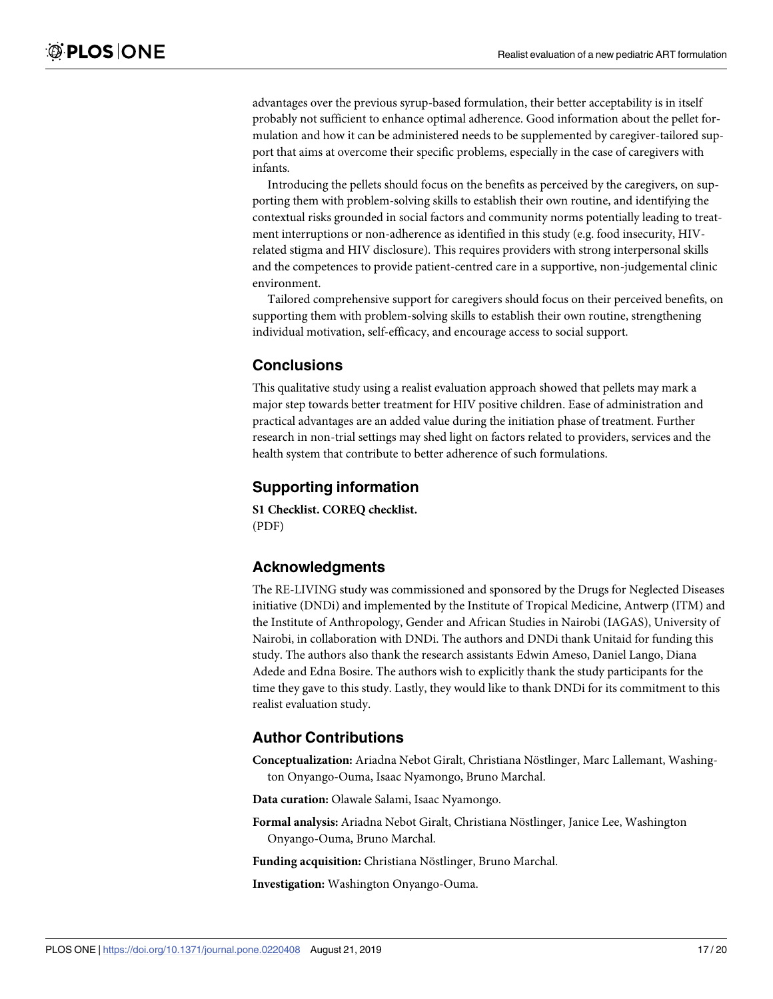<span id="page-16-0"></span>advantages over the previous syrup-based formulation, their better acceptability is in itself probably not sufficient to enhance optimal adherence. Good information about the pellet formulation and how it can be administered needs to be supplemented by caregiver-tailored support that aims at overcome their specific problems, especially in the case of caregivers with infants.

Introducing the pellets should focus on the benefits as perceived by the caregivers, on supporting them with problem-solving skills to establish their own routine, and identifying the contextual risks grounded in social factors and community norms potentially leading to treatment interruptions or non-adherence as identified in this study (e.g. food insecurity, HIVrelated stigma and HIV disclosure). This requires providers with strong interpersonal skills and the competences to provide patient-centred care in a supportive, non-judgemental clinic environment.

Tailored comprehensive support for caregivers should focus on their perceived benefits, on supporting them with problem-solving skills to establish their own routine, strengthening individual motivation, self-efficacy, and encourage access to social support.

## **Conclusions**

This qualitative study using a realist evaluation approach showed that pellets may mark a major step towards better treatment for HIV positive children. Ease of administration and practical advantages are an added value during the initiation phase of treatment. Further research in non-trial settings may shed light on factors related to providers, services and the health system that contribute to better adherence of such formulations.

## **Supporting information**

**S1 [Checklist.](http://www.plosone.org/article/fetchSingleRepresentation.action?uri=info:doi/10.1371/journal.pone.0220408.s001) COREQ checklist.** (PDF)

## **Acknowledgments**

The RE-LIVING study was commissioned and sponsored by the Drugs for Neglected Diseases initiative (DNDi) and implemented by the Institute of Tropical Medicine, Antwerp (ITM) and the Institute of Anthropology, Gender and African Studies in Nairobi (IAGAS), University of Nairobi, in collaboration with DNDi. The authors and DNDi thank Unitaid for funding this study. The authors also thank the research assistants Edwin Ameso, Daniel Lango, Diana Adede and Edna Bosire. The authors wish to explicitly thank the study participants for the time they gave to this study. Lastly, they would like to thank DNDi for its commitment to this realist evaluation study.

## **Author Contributions**

**Conceptualization:** Ariadna Nebot Giralt, Christiana Nöstlinger, Marc Lallemant, Washington Onyango-Ouma, Isaac Nyamongo, Bruno Marchal.

**Data curation:** Olawale Salami, Isaac Nyamongo.

**Formal analysis:** Ariadna Nebot Giralt, Christiana Nöstlinger, Janice Lee, Washington Onyango-Ouma, Bruno Marchal.

**Funding acquisition:** Christiana Nöstlinger, Bruno Marchal.

**Investigation:** Washington Onyango-Ouma.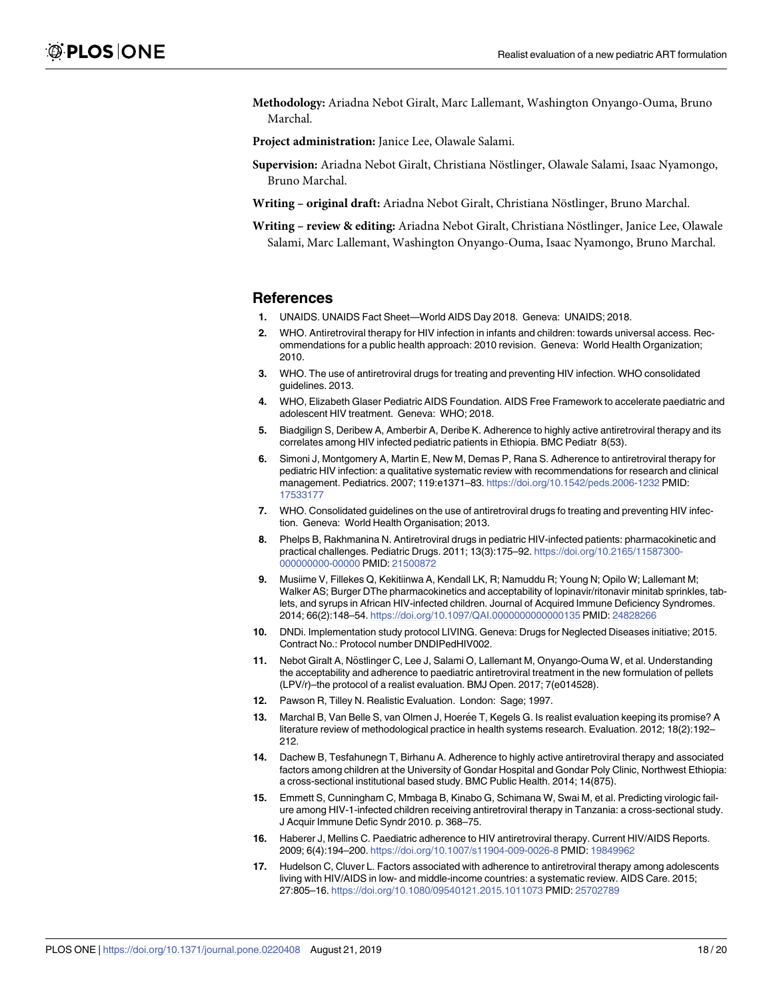<span id="page-17-0"></span>**Methodology:** Ariadna Nebot Giralt, Marc Lallemant, Washington Onyango-Ouma, Bruno Marchal.

**Project administration:** Janice Lee, Olawale Salami.

- Supervision: Ariadna Nebot Giralt, Christiana Nöstlinger, Olawale Salami, Isaac Nyamongo, Bruno Marchal.
- **Writing original draft:** Ariadna Nebot Giralt, Christiana Nöstlinger, Bruno Marchal.
- **Writing review & editing:** Ariadna Nebot Giralt, Christiana Nöstlinger, Janice Lee, Olawale Salami, Marc Lallemant, Washington Onyango-Ouma, Isaac Nyamongo, Bruno Marchal.

#### **References**

- **[1](#page-1-0).** UNAIDS. UNAIDS Fact Sheet—World AIDS Day 2018. Geneva: UNAIDS; 2018.
- **[2](#page-1-0).** WHO. Antiretroviral therapy for HIV infection in infants and children: towards universal access. Recommendations for a public health approach: 2010 revision. Geneva: World Health Organization; 2010.
- **[3](#page-1-0).** WHO. The use of antiretroviral drugs for treating and preventing HIV infection. WHO consolidated guidelines. 2013.
- **[4](#page-1-0).** WHO, Elizabeth Glaser Pediatric AIDS Foundation. AIDS Free Framework to accelerate paediatric and adolescent HIV treatment. Geneva: WHO; 2018.
- **[5](#page-1-0).** Biadgilign S, Deribew A, Amberbir A, Deribe K. Adherence to highly active antiretroviral therapy and its correlates among HIV infected pediatric patients in Ethiopia. BMC Pediatr 8(53).
- **[6](#page-1-0).** Simoni J, Montgomery A, Martin E, New M, Demas P, Rana S. Adherence to antiretroviral therapy for pediatric HIV infection: a qualitative systematic review with recommendations for research and clinical management. Pediatrics. 2007; 119:e1371–83. <https://doi.org/10.1542/peds.2006-1232> PMID: [17533177](http://www.ncbi.nlm.nih.gov/pubmed/17533177)
- **[7](#page-1-0).** WHO. Consolidated guidelines on the use of antiretroviral drugs fo treating and preventing HIV infection. Geneva: World Health Organisation; 2013.
- **[8](#page-1-0).** Phelps B, Rakhmanina N. Antiretroviral drugs in pediatric HIV-infected patients: pharmacokinetic and practical challenges. Pediatric Drugs. 2011; 13(3):175–92. [https://doi.org/10.2165/11587300-](https://doi.org/10.2165/11587300-000000000-00000) [000000000-00000](https://doi.org/10.2165/11587300-000000000-00000) PMID: [21500872](http://www.ncbi.nlm.nih.gov/pubmed/21500872)
- **[9](#page-1-0).** Musiime V, Fillekes Q, Kekitiinwa A, Kendall LK, R; Namuddu R; Young N; Opilo W; Lallemant M; Walker AS; Burger DThe pharmacokinetics and acceptability of lopinavir/ritonavir minitab sprinkles, tablets, and syrups in African HIV-infected children. Journal of Acquired Immune Deficiency Syndromes. 2014; 66(2):148–54. <https://doi.org/10.1097/QAI.0000000000000135> PMID: [24828266](http://www.ncbi.nlm.nih.gov/pubmed/24828266)
- **[10](#page-1-0).** DNDi. Implementation study protocol LIVING. Geneva: Drugs for Neglected Diseases initiative; 2015. Contract No.: Protocol number DNDIPedHIV002.
- **[11](#page-1-0).** Nebot Giralt A, Nöstlinger C, Lee J, Salami O, Lallemant M, Onyango-Ouma W, et al. Understanding the acceptability and adherence to paediatric antiretroviral treatment in the new formulation of pellets (LPV/r)–the protocol of a realist evaluation. BMJ Open. 2017; 7(e014528).
- **[12](#page-2-0).** Pawson R, Tilley N. Realistic Evaluation. London: Sage; 1997.
- **[13](#page-2-0).** Marchal B, Van Belle S, van Olmen J, Hoerée T, Kegels G. Is realist evaluation keeping its promise? A literature review of methodological practice in health systems research. Evaluation. 2012; 18(2):192– 212.
- **[14](#page-3-0).** Dachew B, Tesfahunegn T, Birhanu A. Adherence to highly active antiretroviral therapy and associated factors among children at the University of Gondar Hospital and Gondar Poly Clinic, Northwest Ethiopia: a cross-sectional institutional based study. BMC Public Health. 2014; 14(875).
- **15.** Emmett S, Cunningham C, Mmbaga B, Kinabo G, Schimana W, Swai M, et al. Predicting virologic failure among HIV-1-infected children receiving antiretroviral therapy in Tanzania: a cross-sectional study. J Acquir Immune Defic Syndr 2010. p. 368–75.
- **[16](#page-3-0).** Haberer J, Mellins C. Paediatric adherence to HIV antiretroviral therapy. Current HIV/AIDS Reports. 2009; 6(4):194–200. <https://doi.org/10.1007/s11904-009-0026-8> PMID: [19849962](http://www.ncbi.nlm.nih.gov/pubmed/19849962)
- **[17](#page-3-0).** Hudelson C, Cluver L. Factors associated with adherence to antiretroviral therapy among adolescents living with HIV/AIDS in low- and middle-income countries: a systematic review. AIDS Care. 2015; 27:805–16. <https://doi.org/10.1080/09540121.2015.1011073> PMID: [25702789](http://www.ncbi.nlm.nih.gov/pubmed/25702789)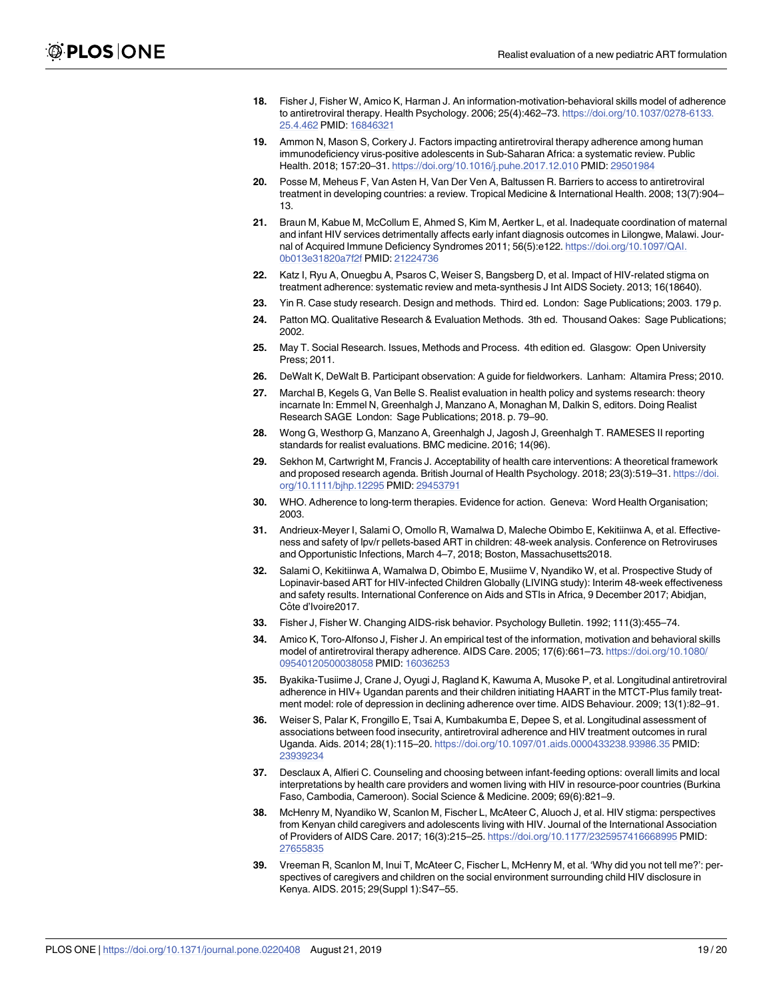- <span id="page-18-0"></span>**[18](#page-3-0).** Fisher J, Fisher W, Amico K, Harman J. An information-motivation-behavioral skills model of adherence to antiretroviral therapy. Health Psychology. 2006; 25(4):462–73. [https://doi.org/10.1037/0278-6133.](https://doi.org/10.1037/0278-6133.25.4.462) [25.4.462](https://doi.org/10.1037/0278-6133.25.4.462) PMID: [16846321](http://www.ncbi.nlm.nih.gov/pubmed/16846321)
- **[19](#page-4-0).** Ammon N, Mason S, Corkery J. Factors impacting antiretroviral therapy adherence among human immunodeficiency virus-positive adolescents in Sub-Saharan Africa: a systematic review. Public Health. 2018; 157:20–31. <https://doi.org/10.1016/j.puhe.2017.12.010> PMID: [29501984](http://www.ncbi.nlm.nih.gov/pubmed/29501984)
- **[20](#page-4-0).** Posse M, Meheus F, Van Asten H, Van Der Ven A, Baltussen R. Barriers to access to antiretroviral treatment in developing countries: a review. Tropical Medicine & International Health. 2008; 13(7):904– 13.
- **[21](#page-4-0).** Braun M, Kabue M, McCollum E, Ahmed S, Kim M, Aertker L, et al. Inadequate coordination of maternal and infant HIV services detrimentally affects early infant diagnosis outcomes in Lilongwe, Malawi. Journal of Acquired Immune Deficiency Syndromes 2011; 56(5):e122. [https://doi.org/10.1097/QAI.](https://doi.org/10.1097/QAI.0b013e31820a7f2f) [0b013e31820a7f2f](https://doi.org/10.1097/QAI.0b013e31820a7f2f) PMID: [21224736](http://www.ncbi.nlm.nih.gov/pubmed/21224736)
- **[22](#page-4-0).** Katz I, Ryu A, Onuegbu A, Psaros C, Weiser S, Bangsberg D, et al. Impact of HIV-related stigma on treatment adherence: systematic review and meta-synthesis J Int AIDS Society. 2013; 16(18640).
- **[23](#page-4-0).** Yin R. Case study research. Design and methods. Third ed. London: Sage Publications; 2003. 179 p.
- **[24](#page-4-0).** Patton MQ. Qualitative Research & Evaluation Methods. 3th ed. Thousand Oakes: Sage Publications; 2002.
- **[25](#page-4-0).** May T. Social Research. Issues, Methods and Process. 4th edition ed. Glasgow: Open University Press; 2011.
- **[26](#page-6-0).** DeWalt K, DeWalt B. Participant observation: A guide for fieldworkers. Lanham: Altamira Press; 2010.
- **[27](#page-6-0).** Marchal B, Kegels G, Van Belle S. Realist evaluation in health policy and systems research: theory incarnate In: Emmel N, Greenhalgh J, Manzano A, Monaghan M, Dalkin S, editors. Doing Realist Research SAGE London: Sage Publications; 2018. p. 79–90.
- **[28](#page-6-0).** Wong G, Westhorp G, Manzano A, Greenhalgh J, Jagosh J, Greenhalgh T. RAMESES II reporting standards for realist evaluations. BMC medicine. 2016; 14(96).
- **[29](#page-14-0).** Sekhon M, Cartwright M, Francis J. Acceptability of health care interventions: A theoretical framework and proposed research agenda. British Journal of Health Psychology. 2018; 23(3):519–31. [https://doi.](https://doi.org/10.1111/bjhp.12295) [org/10.1111/bjhp.12295](https://doi.org/10.1111/bjhp.12295) PMID: [29453791](http://www.ncbi.nlm.nih.gov/pubmed/29453791)
- **[30](#page-14-0).** WHO. Adherence to long-term therapies. Evidence for action. Geneva: Word Health Organisation; 2003.
- **[31](#page-14-0).** Andrieux-Meyer I, Salami O, Omollo R, Wamalwa D, Maleche Obimbo E, Kekitiinwa A, et al. Effectiveness and safety of lpv/r pellets-based ART in children: 48-week analysis. Conference on Retroviruses and Opportunistic Infections, March 4–7, 2018; Boston, Massachusetts2018.
- **[32](#page-14-0).** Salami O, Kekitiinwa A, Wamalwa D, Obimbo E, Musiime V, Nyandiko W, et al. Prospective Study of Lopinavir-based ART for HIV-infected Children Globally (LIVING study): Interim 48-week effectiveness and safety results. International Conference on Aids and STIs in Africa, 9 December 2017; Abidjan, Côte d'Ivoire2017.
- **[33](#page-14-0).** Fisher J, Fisher W. Changing AIDS-risk behavior. Psychology Bulletin. 1992; 111(3):455–74.
- **[34](#page-14-0).** Amico K, Toro-Alfonso J, Fisher J. An empirical test of the information, motivation and behavioral skills model of antiretroviral therapy adherence. AIDS Care. 2005; 17(6):661–73. [https://doi.org/10.1080/](https://doi.org/10.1080/09540120500038058) [09540120500038058](https://doi.org/10.1080/09540120500038058) PMID: [16036253](http://www.ncbi.nlm.nih.gov/pubmed/16036253)
- **[35](#page-15-0).** Byakika-Tusiime J, Crane J, Oyugi J, Ragland K, Kawuma A, Musoke P, et al. Longitudinal antiretroviral adherence in HIV+ Ugandan parents and their children initiating HAART in the MTCT-Plus family treatment model: role of depression in declining adherence over time. AIDS Behaviour. 2009; 13(1):82–91.
- **[36](#page-15-0).** Weiser S, Palar K, Frongillo E, Tsai A, Kumbakumba E, Depee S, et al. Longitudinal assessment of associations between food insecurity, antiretroviral adherence and HIV treatment outcomes in rural Uganda. Aids. 2014; 28(1):115–20. <https://doi.org/10.1097/01.aids.0000433238.93986.35> PMID: [23939234](http://www.ncbi.nlm.nih.gov/pubmed/23939234)
- **[37](#page-15-0).** Desclaux A, Alfieri C. Counseling and choosing between infant-feeding options: overall limits and local interpretations by health care providers and women living with HIV in resource-poor countries (Burkina Faso, Cambodia, Cameroon). Social Science & Medicine. 2009; 69(6):821–9.
- **[38](#page-15-0).** McHenry M, Nyandiko W, Scanlon M, Fischer L, McAteer C, Aluoch J, et al. HIV stigma: perspectives from Kenyan child caregivers and adolescents living with HIV. Journal of the International Association of Providers of AIDS Care. 2017; 16(3):215–25. <https://doi.org/10.1177/2325957416668995> PMID: [27655835](http://www.ncbi.nlm.nih.gov/pubmed/27655835)
- **[39](#page-15-0).** Vreeman R, Scanlon M, Inui T, McAteer C, Fischer L, McHenry M, et al. 'Why did you not tell me?': perspectives of caregivers and children on the social environment surrounding child HIV disclosure in Kenya. AIDS. 2015; 29(Suppl 1):S47–55.